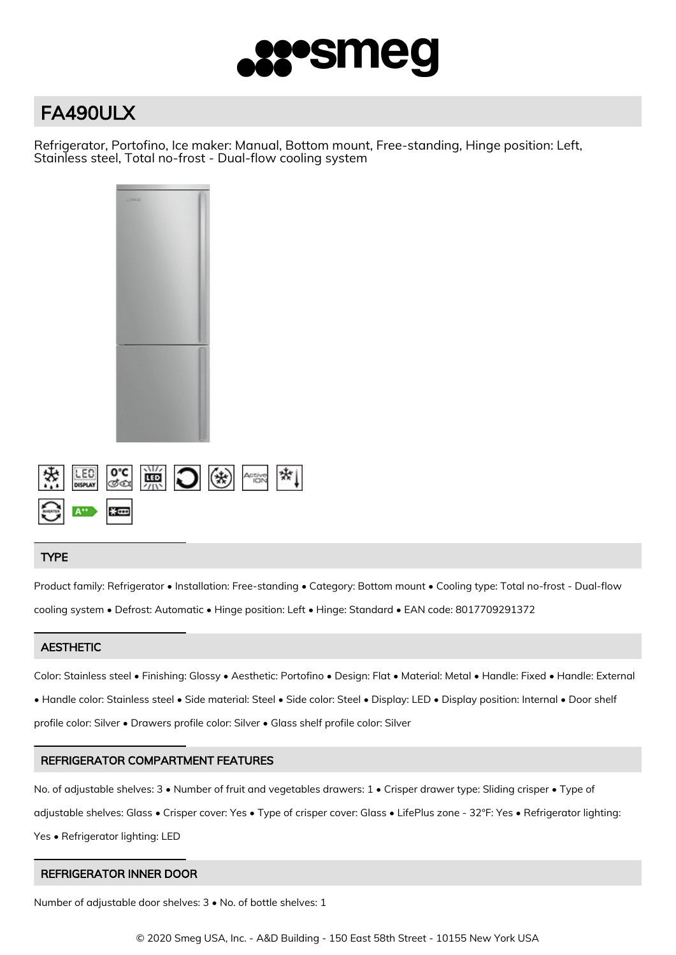

# FA490ULX

Refrigerator, Portofino, Ice maker: Manual, Bottom mount, Free-standing, Hinge position: Left, Stainless steel, Total no-frost - Dual-flow cooling system



## TYPE

Product family: Refrigerator • Installation: Free-standing • Category: Bottom mount • Cooling type: Total no-frost - Dual-flow cooling system • Defrost: Automatic • Hinge position: Left • Hinge: Standard • EAN code: 8017709291372

# **AESTHETIC**

Color: Stainless steel • Finishing: Glossy • Aesthetic: Portofino • Design: Flat • Material: Metal • Handle: Fixed • Handle: External • Handle color: Stainless steel • Side material: Steel • Side color: Steel • Display: LED • Display position: Internal • Door shelf profile color: Silver • Drawers profile color: Silver • Glass shelf profile color: Silver

# REFRIGERATOR COMPARTMENT FEATURES

No. of adjustable shelves: 3 • Number of fruit and vegetables drawers: 1 • Crisper drawer type: Sliding crisper • Type of adjustable shelves: Glass • Crisper cover: Yes • Type of crisper cover: Glass • LifePlus zone - 32°F: Yes • Refrigerator lighting: Yes • Refrigerator lighting: LED

# REFRIGERATOR INNER DOOR

Number of adjustable door shelves: 3 • No. of bottle shelves: 1

© 2020 Smeg USA, Inc. - A&D Building - 150 East 58th Street - 10155 New York USA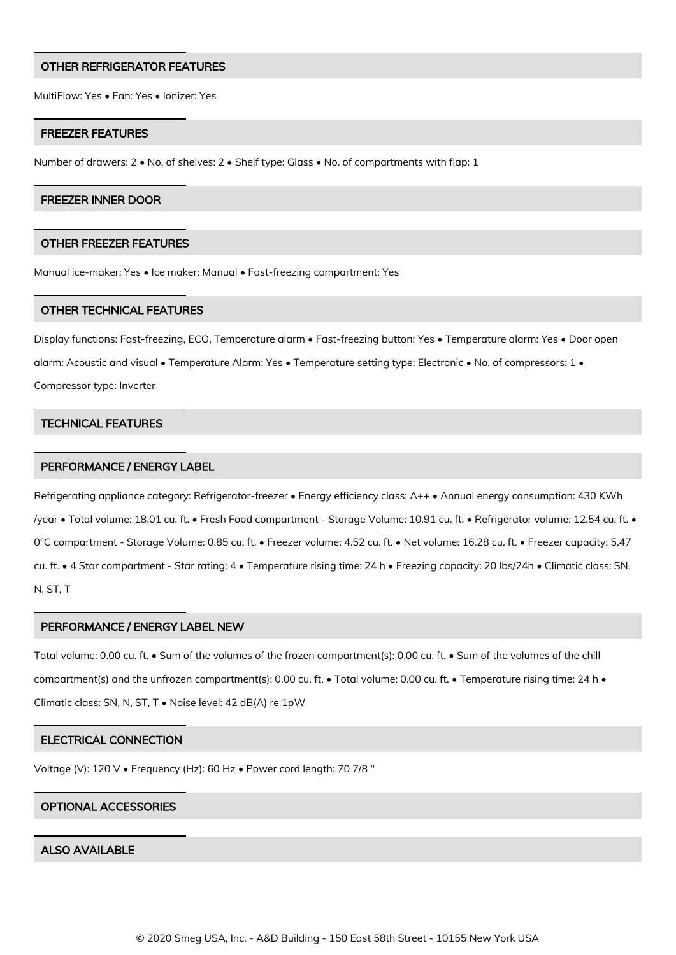#### OTHER REFRIGERATOR FEATURES

MultiFlow: Yes • Fan: Yes • Ionizer: Yes

#### FREEZER FEATURES

Number of drawers: 2 • No. of shelves: 2 • Shelf type: Glass • No. of compartments with flap: 1

#### FREEZER INNER DOOR

#### OTHER FREEZER FEATURES

Manual ice-maker: Yes • Ice maker: Manual • Fast-freezing compartment: Yes

#### OTHER TECHNICAL FEATURES

Display functions: Fast-freezing, ECO, Temperature alarm • Fast-freezing button: Yes • Temperature alarm: Yes • Door open alarm: Acoustic and visual • Temperature Alarm: Yes • Temperature setting type: Electronic • No. of compressors: 1 • Compressor type: Inverter

#### TECHNICAL FEATURES

## PERFORMANCE / ENERGY LABEL

Refrigerating appliance category: Refrigerator-freezer • Energy efficiency class: A++ • Annual energy consumption: 430 KWh /year • Total volume: 18.01 cu. ft. • Fresh Food compartment - Storage Volume: 10.91 cu. ft. • Refrigerator volume: 12.54 cu. ft. • 0°C compartment - Storage Volume: 0.85 cu. ft. • Freezer volume: 4.52 cu. ft. • Net volume: 16.28 cu. ft. • Freezer capacity: 5.47 cu. ft. • 4 Star compartment - Star rating: 4 • Temperature rising time: 24 h • Freezing capacity: 20 lbs/24h • Climatic class: SN, N, ST, T

#### PERFORMANCE / ENERGY LABEL NEW

Total volume: 0.00 cu. ft. • Sum of the volumes of the frozen compartment(s): 0.00 cu. ft. • Sum of the volumes of the chill compartment(s) and the unfrozen compartment(s): 0.00 cu. ft. • Total volume: 0.00 cu. ft. • Temperature rising time: 24 h • Climatic class: SN, N, ST, T • Noise level: 42 dB(A) re 1pW

## ELECTRICAL CONNECTION

Voltage (V): 120 V • Frequency (Hz): 60 Hz • Power cord length: 70 7/8 "

## OPTIONAL ACCESSORIES

## ALSO AVAILABLE